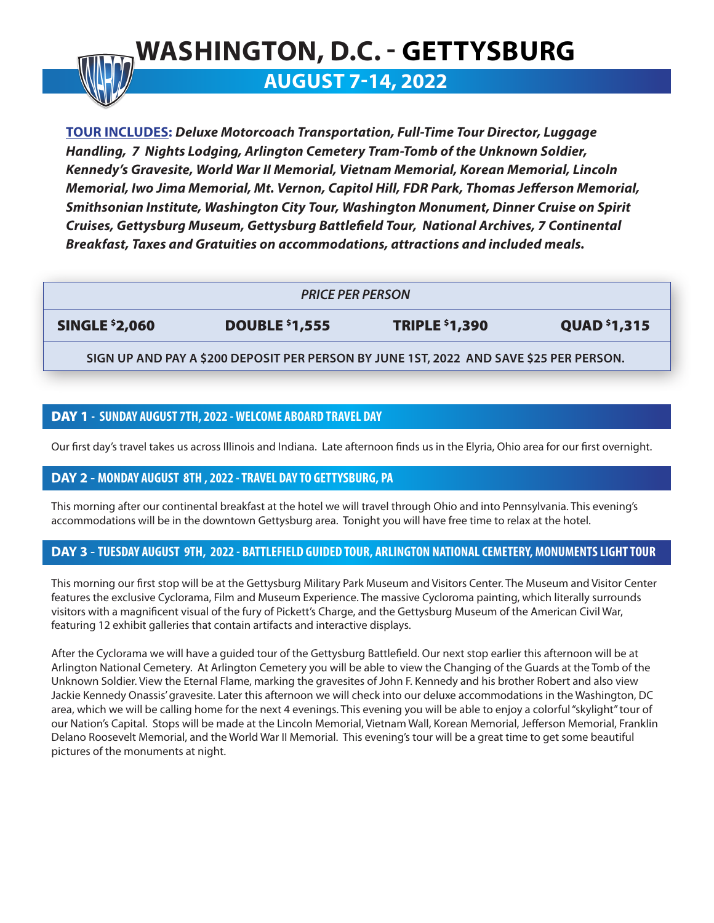# **WASHINGTON, D.C. - GETTYSBURG**

### **AUGUST 7-14, 2022**

**TOUR INCLUDES:** *Deluxe Motorcoach Transportation, Full-Time Tour Director, Luggage Handling, 7 Nights Lodging, Arlington Cemetery Tram-Tomb of the Unknown Soldier, Kennedy's Gravesite, World War II Memorial, Vietnam Memorial, Korean Memorial, Lincoln Memorial, Iwo Jima Memorial, Mt. Vernon, Capitol Hill, FDR Park, Thomas Jefferson Memorial, Smithsonian Institute, Washington City Tour, Washington Monument, Dinner Cruise on Spirit Cruises, Gettysburg Museum, Gettysburg Battlefield Tour, National Archives, 7 Continental Breakfast, Taxes and Gratuities on accommodations, attractions and included meals.*

#### *PRICE PER PERSON*

SINGLE \$2,060 DOUBLE \$1,555 TRIPLE \$1,390 QUAD \$1,315

**SIGN UP AND PAY A \$200 DEPOSIT PER PERSON BY JUNE 1ST, 2022 AND SAVE \$25 PER PERSON.**

### DAY 1 **- SUNDAY AUGUST 7TH, 2022 - WELCOME ABOARD TRAVEL DAY**

Our first day's travel takes us across Illinois and Indiana. Late afternoon finds us in the Elyria, Ohio area for our first overnight.

### **DAY 2 - MONDAY AUGUST 8TH , 2022 - TRAVEL DAY TO GETTYSBURG, PA**

This morning after our continental breakfast at the hotel we will travel through Ohio and into Pennsylvania. This evening's accommodations will be in the downtown Gettysburg area. Tonight you will have free time to relax at the hotel.

### **DAY 3 - TUESDAY AUGUST 9TH, 2022 - BATTLEFIELD GUIDED TOUR, ARLINGTON NATIONAL CEMETERY, MONUMENTS LIGHT TOUR**

This morning our first stop will be at the Gettysburg Military Park Museum and Visitors Center. The Museum and Visitor Center features the exclusive Cyclorama, Film and Museum Experience. The massive Cycloroma painting, which literally surrounds visitors with a magnificent visual of the fury of Pickett's Charge, and the Gettysburg Museum of the American Civil War, featuring 12 exhibit galleries that contain artifacts and interactive displays.

After the Cyclorama we will have a guided tour of the Gettysburg Battlefield. Our next stop earlier this afternoon will be at Arlington National Cemetery. At Arlington Cemetery you will be able to view the Changing of the Guards at the Tomb of the Unknown Soldier. View the Eternal Flame, marking the gravesites of John F. Kennedy and his brother Robert and also view Jackie Kennedy Onassis' gravesite. Later this afternoon we will check into our deluxe accommodations in the Washington, DC area, which we will be calling home for the next 4 evenings. This evening you will be able to enjoy a colorful "skylight" tour of our Nation's Capital. Stops will be made at the Lincoln Memorial, Vietnam Wall, Korean Memorial, Jefferson Memorial, Franklin Delano Roosevelt Memorial, and the World War II Memorial. This evening's tour will be a great time to get some beautiful pictures of the monuments at night.